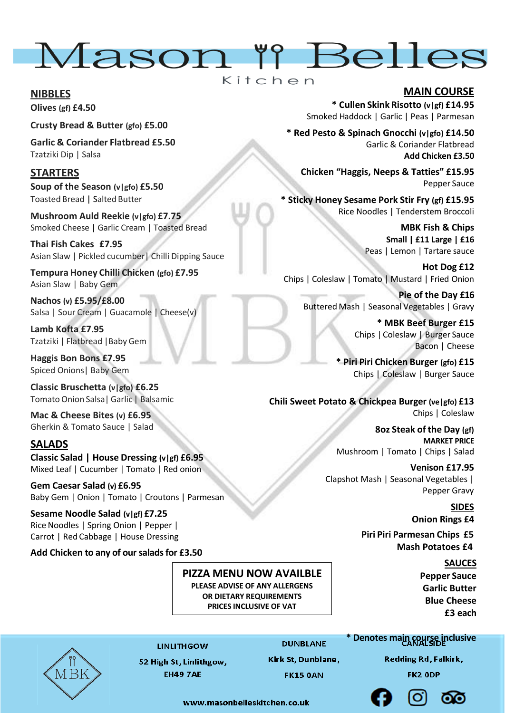

#### **NIBBLES**

**Olives (gf) £4.50**

**Crusty Bread & Butter (gfo) £5.00**

**Garlic & Coriander Flatbread £5.50** Tzatziki Dip | Salsa

# **STARTERS**

**Soup of the Season (v|gfo) £5.50**  Toasted Bread | Salted Butter

**Mushroom Auld Reekie (v|gfo) £7.75** Smoked Cheese | Garlic Cream | Toasted Bread

**Thai Fish Cakes £7.95** Asian Slaw | Pickled cucumber| Chilli Dipping Sauce

**Tempura Honey Chilli Chicken (gfo) £7.95** Asian Slaw | Baby Gem

**Nachos (v) £5.95/£8.00** Salsa | Sour Cream | Guacamole | Cheese(v)

**Lamb Kofta £7.95** Tzatziki | Flatbread |Baby Gem

**Haggis Bon Bons £7.95** Spiced Onions| Baby Gem

**Classic Bruschetta (v|gfo) £6.25** TomatoOnion Salsa|Garlic | Balsamic

**Mac & Cheese Bites (v) £6.95** Gherkin & Tomato Sauce | Salad

### **SALADS**

**Classic Salad | House Dressing (v|gf) £6.95** Mixed Leaf | Cucumber | Tomato | Red onion

**Gem Caesar Salad (v) £6.95** Baby Gem | Onion | Tomato | Croutons | Parmesan

**Sesame Noodle Salad (v|gf) £7.25** Rice Noodles | Spring Onion | Pepper | Carrot | Red Cabbage | House Dressing

**Add Chicken to any of our salads for £3.50**

# **PIZZA MENU NOW AVAILBLE**

**PLEASE ADVISE OF ANY ALLERGENS OR DIETARY REQUIREMENTS PRICES INCLUSIVE OF VAT**



**LINLITHGOW** 

**DUNBLANE** 

52 High St, Linlithgow, **EH49 7AE** 

Kirk St, Dunblane, **FK15 0AN** 

## **MAIN COURSE**

**\* Cullen Skink Risotto (v|gf) £14.95** Smoked Haddock | Garlic | Peas | Parmesan

**\* Red Pesto & Spinach Gnocchi (v|gfo) £14.50** Garlic & Coriander Flatbread **Add Chicken £3.50**

**Chicken "Haggis, Neeps & Tatties" £15.95** Pepper Sauce

**\* Sticky Honey Sesame Pork Stir Fry (gf) £15.95** Rice Noodles | Tenderstem Broccoli

> **MBK Fish & Chips Small | £11 Large | £16** Peas | Lemon | Tartare sauce

**Hot Dog £12** Chips | Coleslaw | Tomato | Mustard | Fried Onion

**Pie of the Day £16** Buttered Mash | Seasonal Vegetables | Gravy

> **\* MBK Beef Burger £15** Chips | Coleslaw | Burger Sauce Bacon | Cheese

**\* Piri Piri Chicken Burger (gfo) £15** Chips | Coleslaw | Burger Sauce

**Chili Sweet Potato & Chickpea Burger (ve|gfo) £13** Chips | Coleslaw

> **8oz Steak of the Day (gf) MARKET PRICE** Mushroom | Tomato | Chips | Salad

**Venison £17.95** Clapshot Mash | Seasonal Vegetables | Pepper Gravy

> **SIDES Onion Rings £4**

 **Piri Piri Parmesan Chips £5 Mash Potatoes £4**

> **SAUCES Pepper Sauce Garlic Butter Blue Cheese £3 each**

### **\* Denotes main course inclusive**

**Redding Rd, Falkirk,** 

FK2 ODP



www.masonhelleskitchen.co.uk